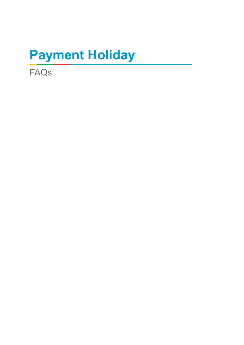# **Payment Holiday**

FAQs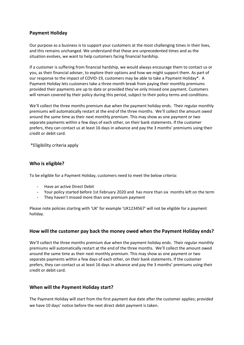### **Payment Holiday**

Our purpose as a business is to support your customers at the most challenging times in their lives, and this remains unchanged. We understand that these are unprecedented times and as the situation evolves, we want to help customers facing financial hardship.

If a customer is suffering from financial hardship, we would always encourage them to contact us or you, as their financial adviser, to explore their options and how we might support them. As part of our response to the impact of COVID-19, customers may be able to take a Payment Holiday\*. A Payment Holiday lets customers take a three month break from paying their monthly premiums provided their payments are up to date or provided they've only missed one payment. Customers will remain covered by their policy during this period, subject to their policy terms and conditions.

We'll collect the three months premium due when the payment holiday ends. Their regular monthly premiums will automatically restart at the end of the three months. We'll collect the amount owed around the same time as their next monthly premium. This may show as one payment or two separate payments within a few days of each other, on their bank statements. If the customer prefers, they can contact us at least 16 days in advance and pay the 3 months' premiums using their credit or debit card.

\*Eligibility criteria apply

#### **Who is eligible?**

To be eligible for a Payment Holiday, customers need to meet the below criteria:

- Have an active Direct Debit
- Your policy started before 1st February 2020 and has more than six months left on the term
- They haven't missed more than one premium payment

Please note policies starting with 'UK' for example 'UK1234567' will not be eligible for a payment holiday.

#### **How will the customer pay back the money owed when the Payment Holiday ends?**

We'll collect the three months premium due when the payment holiday ends. Their regular monthly premiums will automatically restart at the end of the three months. We'll collect the amount owed around the same time as their next monthly premium. This may show as one payment or two separate payments within a few days of each other, on their bank statements. If the customer prefers, they can contact us at least 16 days in advance and pay the 3 months' premiums using their credit or debit card.

#### **When will the Payment Holiday start?**

The Payment Holiday will start from the first payment due date after the customer applies; provided we have 10 days' notice before the next direct debit payment is taken.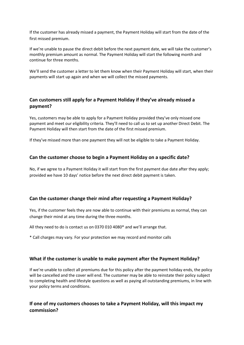If the customer has already missed a payment, the Payment Holiday will start from the date of the first missed premium.

If we're unable to pause the direct debit before the next payment date, we will take the customer's monthly premium amount as normal. The Payment Holiday will start the following month and continue for three months.

We'll send the customer a letter to let them know when their Payment Holiday will start, when their payments will start up again and when we will collect the missed payments.

## **Can customers still apply for a Payment Holiday if they've already missed a payment?**

Yes, customers may be able to apply for a Payment Holiday provided they've only missed one payment and meet our eligibility criteria. They'll need to call us to set up another Direct Debit. The Payment Holiday will then start from the date of the first missed premium.

If they've missed more than one payment they will not be eligible to take a Payment Holiday.

#### **Can the customer choose to begin a Payment Holiday on a specific date?**

No, if we agree to a Payment Holiday it will start from the first payment due date after they apply; provided we have 10 days' notice before the next direct debit payment is taken.

#### **Can the customer change their mind after requesting a Payment Holiday?**

Yes, if the customer feels they are now able to continue with their premiums as normal, they can change their mind at any time during the three months.

All they need to do is contact us on 0370 010 4080\* and we'll arrange that.

\* Call charges may vary. For your protection we may record and monitor calls

#### **What if the customer is unable to make payment after the Payment Holiday?**

If we're unable to collect all premiums due for this policy after the payment holiday ends, the policy will be cancelled and the cover will end. The customer may be able to reinstate their policy subject to completing health and lifestyle questions as well as paying all outstanding premiums, in line with your policy terms and conditions.

## **If one of my customers chooses to take a Payment Holiday, will this impact my commission?**